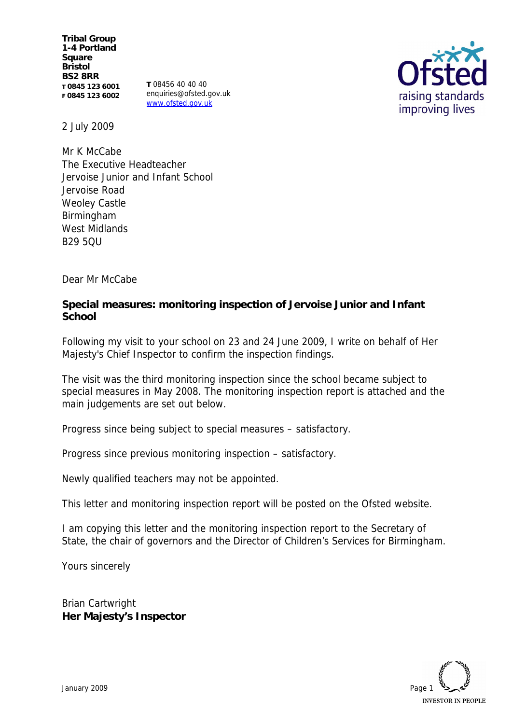**Tribal Group 1-4 Portland Square Bristol BS2 8RR T 0845 123 6001 F 0845 123 6002**

**T** 08456 40 40 40 enquiries@ofsted.gov.uk www.ofsted.gov.uk



2 July 2009

Mr K McCabe The Executive Headteacher Jervoise Junior and Infant School Jervoise Road Weoley Castle Birmingham West Midlands **B<sub>29</sub> 5QU** 

Dear Mr McCabe

**Special measures: monitoring inspection of Jervoise Junior and Infant School**

Following my visit to your school on 23 and 24 June 2009, I write on behalf of Her Majesty's Chief Inspector to confirm the inspection findings.

The visit was the third monitoring inspection since the school became subject to special measures in May 2008. The monitoring inspection report is attached and the main judgements are set out below.

Progress since being subject to special measures – satisfactory.

Progress since previous monitoring inspection – satisfactory.

Newly qualified teachers may not be appointed.

This letter and monitoring inspection report will be posted on the Ofsted website.

I am copying this letter and the monitoring inspection report to the Secretary of State, the chair of governors and the Director of Children's Services for Birmingham.

Yours sincerely

Brian Cartwright **Her Majesty's Inspector**

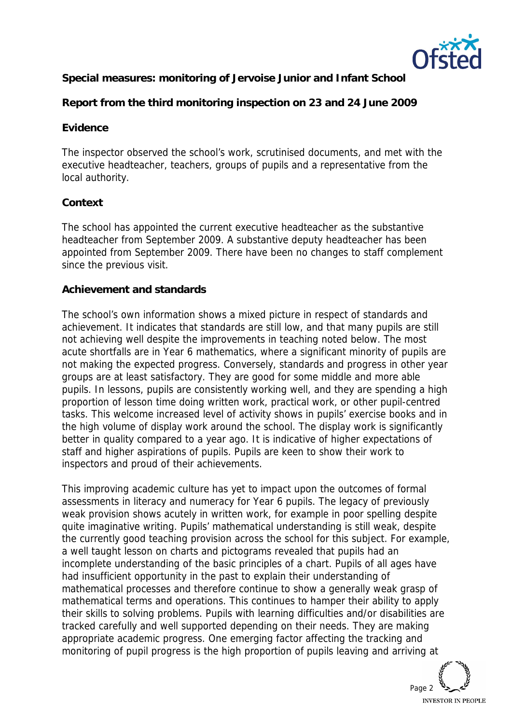

**Special measures: monitoring of Jervoise Junior and Infant School**

**Report from the third monitoring inspection on 23 and 24 June 2009**

## **Evidence**

The inspector observed the school's work, scrutinised documents, and met with the executive headteacher, teachers, groups of pupils and a representative from the local authority.

# **Context**

The school has appointed the current executive headteacher as the substantive headteacher from September 2009. A substantive deputy headteacher has been appointed from September 2009. There have been no changes to staff complement since the previous visit.

### **Achievement and standards**

The school's own information shows a mixed picture in respect of standards and achievement. It indicates that standards are still low, and that many pupils are still not achieving well despite the improvements in teaching noted below. The most acute shortfalls are in Year 6 mathematics, where a significant minority of pupils are not making the expected progress. Conversely, standards and progress in other year groups are at least satisfactory. They are good for some middle and more able pupils. In lessons, pupils are consistently working well, and they are spending a high proportion of lesson time doing written work, practical work, or other pupil-centred tasks. This welcome increased level of activity shows in pupils' exercise books and in the high volume of display work around the school. The display work is significantly better in quality compared to a year ago. It is indicative of higher expectations of staff and higher aspirations of pupils. Pupils are keen to show their work to inspectors and proud of their achievements.

This improving academic culture has yet to impact upon the outcomes of formal assessments in literacy and numeracy for Year 6 pupils. The legacy of previously weak provision shows acutely in written work, for example in poor spelling despite quite imaginative writing. Pupils' mathematical understanding is still weak, despite the currently good teaching provision across the school for this subject. For example, a well taught lesson on charts and pictograms revealed that pupils had an incomplete understanding of the basic principles of a chart. Pupils of all ages have had insufficient opportunity in the past to explain their understanding of mathematical processes and therefore continue to show a generally weak grasp of mathematical terms and operations. This continues to hamper their ability to apply their skills to solving problems. Pupils with learning difficulties and/or disabilities are tracked carefully and well supported depending on their needs. They are making appropriate academic progress. One emerging factor affecting the tracking and monitoring of pupil progress is the high proportion of pupils leaving and arriving at

Page 2 **INVESTOR IN PEOPLE**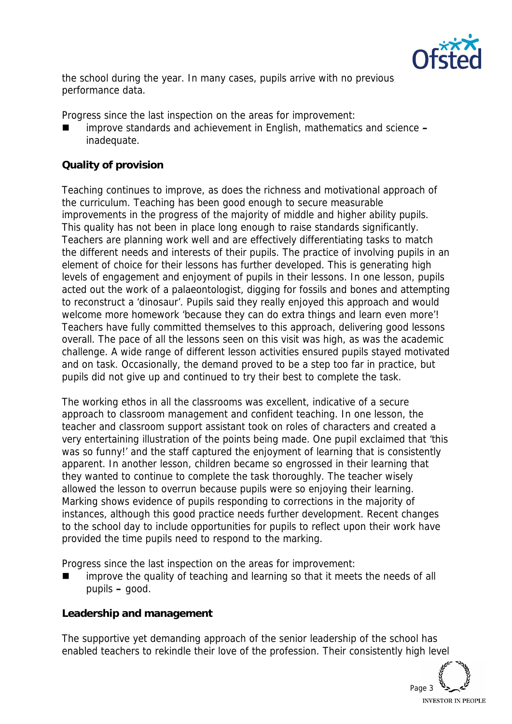

the school during the year. In many cases, pupils arrive with no previous performance data.

Progress since the last inspection on the areas for improvement:

 improve standards and achievement in English, mathematics and science **–** inadequate.

# **Quality of provision**

Teaching continues to improve, as does the richness and motivational approach of the curriculum. Teaching has been good enough to secure measurable improvements in the progress of the majority of middle and higher ability pupils. This quality has not been in place long enough to raise standards significantly. Teachers are planning work well and are effectively differentiating tasks to match the different needs and interests of their pupils. The practice of involving pupils in an element of choice for their lessons has further developed. This is generating high levels of engagement and enjoyment of pupils in their lessons. In one lesson, pupils acted out the work of a palaeontologist, digging for fossils and bones and attempting to reconstruct a 'dinosaur'. Pupils said they really enjoyed this approach and would welcome more homework 'because they can do extra things and learn even more'! Teachers have fully committed themselves to this approach, delivering good lessons overall. The pace of all the lessons seen on this visit was high, as was the academic challenge. A wide range of different lesson activities ensured pupils stayed motivated and on task. Occasionally, the demand proved to be a step too far in practice, but pupils did not give up and continued to try their best to complete the task.

The working ethos in all the classrooms was excellent, indicative of a secure approach to classroom management and confident teaching. In one lesson, the teacher and classroom support assistant took on roles of characters and created a very entertaining illustration of the points being made. One pupil exclaimed that 'this was so funny!' and the staff captured the enjoyment of learning that is consistently apparent. In another lesson, children became so engrossed in their learning that they wanted to continue to complete the task thoroughly. The teacher wisely allowed the lesson to overrun because pupils were so enjoying their learning. Marking shows evidence of pupils responding to corrections in the majority of instances, although this good practice needs further development. Recent changes to the school day to include opportunities for pupils to reflect upon their work have provided the time pupils need to respond to the marking.

Progress since the last inspection on the areas for improvement:

 improve the quality of teaching and learning so that it meets the needs of all pupils **–** good.

**Leadership and management**

The supportive yet demanding approach of the senior leadership of the school has enabled teachers to rekindle their love of the profession. Their consistently high level

Page 3 **INVESTOR IN PEOPLE**